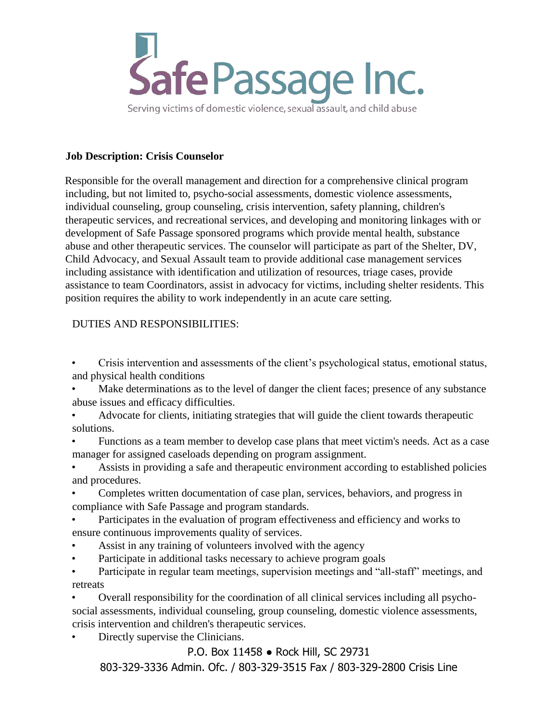

Serving victims of domestic violence, sexual assault, and child abuse

## **Job Description: Crisis Counselor**

Responsible for the overall management and direction for a comprehensive clinical program including, but not limited to, psycho-social assessments, domestic violence assessments, individual counseling, group counseling, crisis intervention, safety planning, children's therapeutic services, and recreational services, and developing and monitoring linkages with or development of Safe Passage sponsored programs which provide mental health, substance abuse and other therapeutic services. The counselor will participate as part of the Shelter, DV, Child Advocacy, and Sexual Assault team to provide additional case management services including assistance with identification and utilization of resources, triage cases, provide assistance to team Coordinators, assist in advocacy for victims, including shelter residents. This position requires the ability to work independently in an acute care setting.

## DUTIES AND RESPONSIBILITIES:

• Crisis intervention and assessments of the client's psychological status, emotional status, and physical health conditions

Make determinations as to the level of danger the client faces; presence of any substance abuse issues and efficacy difficulties.

• Advocate for clients, initiating strategies that will guide the client towards therapeutic solutions.

• Functions as a team member to develop case plans that meet victim's needs. Act as a case manager for assigned caseloads depending on program assignment.

• Assists in providing a safe and therapeutic environment according to established policies and procedures.

• Completes written documentation of case plan, services, behaviors, and progress in compliance with Safe Passage and program standards.

Participates in the evaluation of program effectiveness and efficiency and works to ensure continuous improvements quality of services.

Assist in any training of volunteers involved with the agency

• Participate in additional tasks necessary to achieve program goals

• Participate in regular team meetings, supervision meetings and "all-staff" meetings, and retreats

• Overall responsibility for the coordination of all clinical services including all psychosocial assessments, individual counseling, group counseling, domestic violence assessments, crisis intervention and children's therapeutic services.

Directly supervise the Clinicians.

P.O. Box 11458 ● Rock Hill, SC 29731

803-329-3336 Admin. Ofc. / 803-329-3515 Fax / 803-329-2800 Crisis Line